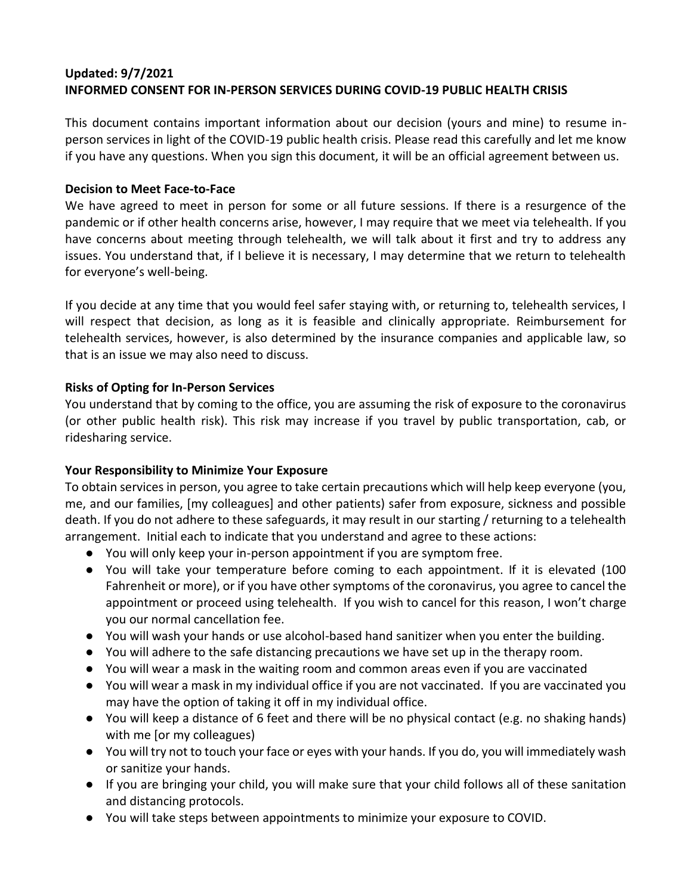# **Updated: 9/7/2021 INFORMED CONSENT FOR IN-PERSON SERVICES DURING COVID-19 PUBLIC HEALTH CRISIS**

This document contains important information about our decision (yours and mine) to resume inperson services in light of the COVID-19 public health crisis. Please read this carefully and let me know if you have any questions. When you sign this document, it will be an official agreement between us.

#### **Decision to Meet Face-to-Face**

We have agreed to meet in person for some or all future sessions. If there is a resurgence of the pandemic or if other health concerns arise, however, I may require that we meet via telehealth. If you have concerns about meeting through telehealth, we will talk about it first and try to address any issues. You understand that, if I believe it is necessary, I may determine that we return to telehealth for everyone's well-being.

If you decide at any time that you would feel safer staying with, or returning to, telehealth services, I will respect that decision, as long as it is feasible and clinically appropriate. Reimbursement for telehealth services, however, is also determined by the insurance companies and applicable law, so that is an issue we may also need to discuss.

#### **Risks of Opting for In-Person Services**

You understand that by coming to the office, you are assuming the risk of exposure to the coronavirus (or other public health risk). This risk may increase if you travel by public transportation, cab, or ridesharing service.

#### **Your Responsibility to Minimize Your Exposure**

To obtain services in person, you agree to take certain precautions which will help keep everyone (you, me, and our families, [my colleagues] and other patients) safer from exposure, sickness and possible death. If you do not adhere to these safeguards, it may result in our starting / returning to a telehealth arrangement. Initial each to indicate that you understand and agree to these actions:

- You will only keep your in-person appointment if you are symptom free.
- You will take your temperature before coming to each appointment. If it is elevated (100 Fahrenheit or more), or if you have other symptoms of the coronavirus, you agree to cancel the appointment or proceed using telehealth. If you wish to cancel for this reason, I won't charge you our normal cancellation fee.
- You will wash your hands or use alcohol-based hand sanitizer when you enter the building.
- You will adhere to the safe distancing precautions we have set up in the therapy room.
- You will wear a mask in the waiting room and common areas even if you are vaccinated
- You will wear a mask in my individual office if you are not vaccinated. If you are vaccinated you may have the option of taking it off in my individual office.
- You will keep a distance of 6 feet and there will be no physical contact (e.g. no shaking hands) with me [or my colleagues)
- You will try not to touch your face or eyes with your hands. If you do, you will immediately wash or sanitize your hands.
- If you are bringing your child, you will make sure that your child follows all of these sanitation and distancing protocols.
- You will take steps between appointments to minimize your exposure to COVID.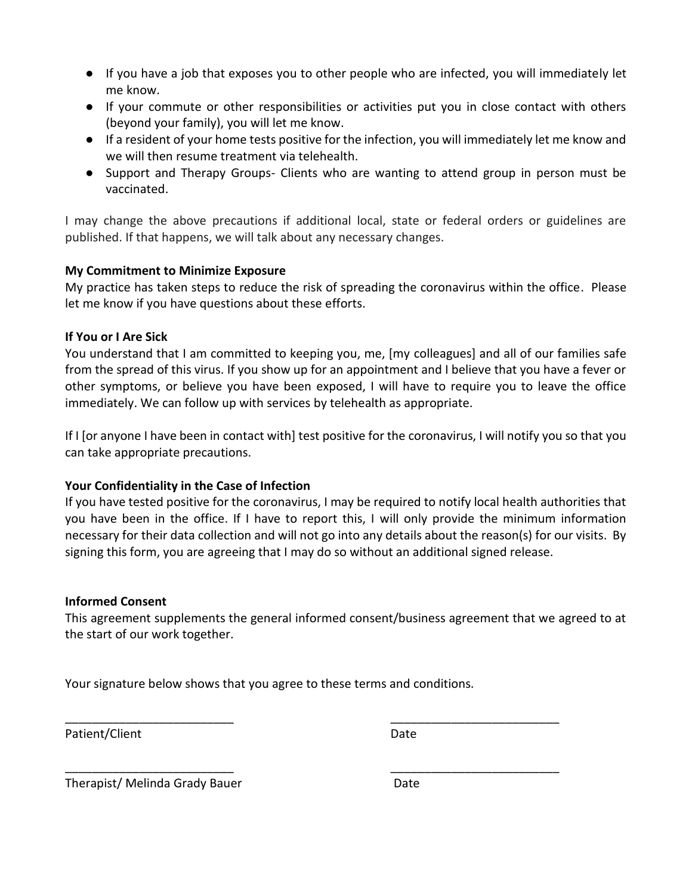- If you have a job that exposes you to other people who are infected, you will immediately let me know.
- If your commute or other responsibilities or activities put you in close contact with others (beyond your family), you will let me know.
- If a resident of your home tests positive for the infection, you will immediately let me know and we will then resume treatment via telehealth.
- Support and Therapy Groups- Clients who are wanting to attend group in person must be vaccinated.

I may change the above precautions if additional local, state or federal orders or guidelines are published. If that happens, we will talk about any necessary changes.

## **My Commitment to Minimize Exposure**

My practice has taken steps to reduce the risk of spreading the coronavirus within the office. Please let me know if you have questions about these efforts.

## **If You or I Are Sick**

You understand that I am committed to keeping you, me, [my colleagues] and all of our families safe from the spread of this virus. If you show up for an appointment and I believe that you have a fever or other symptoms, or believe you have been exposed, I will have to require you to leave the office immediately. We can follow up with services by telehealth as appropriate.

If I [or anyone I have been in contact with] test positive for the coronavirus, I will notify you so that you can take appropriate precautions.

# **Your Confidentiality in the Case of Infection**

If you have tested positive for the coronavirus, I may be required to notify local health authorities that you have been in the office. If I have to report this, I will only provide the minimum information necessary for their data collection and will not go into any details about the reason(s) for our visits. By signing this form, you are agreeing that I may do so without an additional signed release.

#### **Informed Consent**

This agreement supplements the general informed consent/business agreement that we agreed to at the start of our work together.

Your signature below shows that you agree to these terms and conditions.

\_\_\_\_\_\_\_\_\_\_\_\_\_\_\_\_\_\_\_\_\_\_\_\_\_ \_\_\_\_\_\_\_\_\_\_\_\_\_\_\_\_\_\_\_\_\_\_\_\_\_

\_\_\_\_\_\_\_\_\_\_\_\_\_\_\_\_\_\_\_\_\_\_\_\_\_ \_\_\_\_\_\_\_\_\_\_\_\_\_\_\_\_\_\_\_\_\_\_\_\_\_

Patient/Client Date

Therapist/ Melinda Grady Bauer **Date** Date